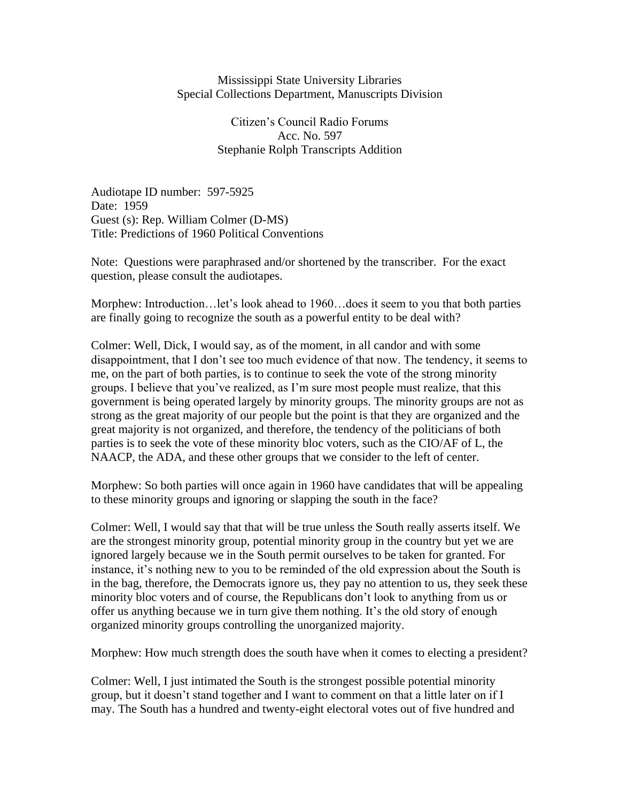## Mississippi State University Libraries Special Collections Department, Manuscripts Division

Citizen's Council Radio Forums Acc. No. 597 Stephanie Rolph Transcripts Addition

Audiotape ID number: 597-5925 Date: 1959 Guest (s): Rep. William Colmer (D-MS) Title: Predictions of 1960 Political Conventions

Note: Questions were paraphrased and/or shortened by the transcriber. For the exact question, please consult the audiotapes.

Morphew: Introduction…let's look ahead to 1960…does it seem to you that both parties are finally going to recognize the south as a powerful entity to be deal with?

Colmer: Well, Dick, I would say, as of the moment, in all candor and with some disappointment, that I don't see too much evidence of that now. The tendency, it seems to me, on the part of both parties, is to continue to seek the vote of the strong minority groups. I believe that you've realized, as I'm sure most people must realize, that this government is being operated largely by minority groups. The minority groups are not as strong as the great majority of our people but the point is that they are organized and the great majority is not organized, and therefore, the tendency of the politicians of both parties is to seek the vote of these minority bloc voters, such as the CIO/AF of L, the NAACP, the ADA, and these other groups that we consider to the left of center.

Morphew: So both parties will once again in 1960 have candidates that will be appealing to these minority groups and ignoring or slapping the south in the face?

Colmer: Well, I would say that that will be true unless the South really asserts itself. We are the strongest minority group, potential minority group in the country but yet we are ignored largely because we in the South permit ourselves to be taken for granted. For instance, it's nothing new to you to be reminded of the old expression about the South is in the bag, therefore, the Democrats ignore us, they pay no attention to us, they seek these minority bloc voters and of course, the Republicans don't look to anything from us or offer us anything because we in turn give them nothing. It's the old story of enough organized minority groups controlling the unorganized majority.

Morphew: How much strength does the south have when it comes to electing a president?

Colmer: Well, I just intimated the South is the strongest possible potential minority group, but it doesn't stand together and I want to comment on that a little later on if I may. The South has a hundred and twenty-eight electoral votes out of five hundred and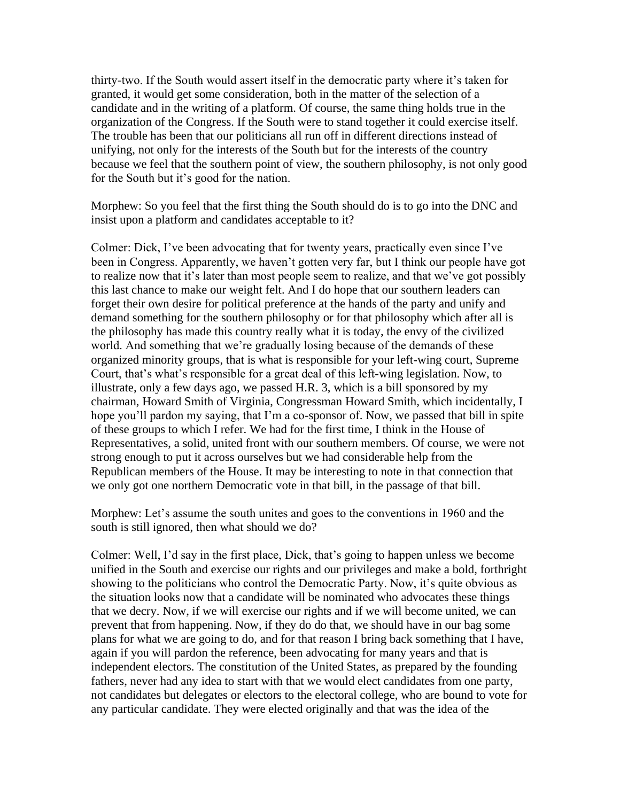thirty-two. If the South would assert itself in the democratic party where it's taken for granted, it would get some consideration, both in the matter of the selection of a candidate and in the writing of a platform. Of course, the same thing holds true in the organization of the Congress. If the South were to stand together it could exercise itself. The trouble has been that our politicians all run off in different directions instead of unifying, not only for the interests of the South but for the interests of the country because we feel that the southern point of view, the southern philosophy, is not only good for the South but it's good for the nation.

Morphew: So you feel that the first thing the South should do is to go into the DNC and insist upon a platform and candidates acceptable to it?

Colmer: Dick, I've been advocating that for twenty years, practically even since I've been in Congress. Apparently, we haven't gotten very far, but I think our people have got to realize now that it's later than most people seem to realize, and that we've got possibly this last chance to make our weight felt. And I do hope that our southern leaders can forget their own desire for political preference at the hands of the party and unify and demand something for the southern philosophy or for that philosophy which after all is the philosophy has made this country really what it is today, the envy of the civilized world. And something that we're gradually losing because of the demands of these organized minority groups, that is what is responsible for your left-wing court, Supreme Court, that's what's responsible for a great deal of this left-wing legislation. Now, to illustrate, only a few days ago, we passed H.R. 3, which is a bill sponsored by my chairman, Howard Smith of Virginia, Congressman Howard Smith, which incidentally, I hope you'll pardon my saying, that I'm a co-sponsor of. Now, we passed that bill in spite of these groups to which I refer. We had for the first time, I think in the House of Representatives, a solid, united front with our southern members. Of course, we were not strong enough to put it across ourselves but we had considerable help from the Republican members of the House. It may be interesting to note in that connection that we only got one northern Democratic vote in that bill, in the passage of that bill.

Morphew: Let's assume the south unites and goes to the conventions in 1960 and the south is still ignored, then what should we do?

Colmer: Well, I'd say in the first place, Dick, that's going to happen unless we become unified in the South and exercise our rights and our privileges and make a bold, forthright showing to the politicians who control the Democratic Party. Now, it's quite obvious as the situation looks now that a candidate will be nominated who advocates these things that we decry. Now, if we will exercise our rights and if we will become united, we can prevent that from happening. Now, if they do do that, we should have in our bag some plans for what we are going to do, and for that reason I bring back something that I have, again if you will pardon the reference, been advocating for many years and that is independent electors. The constitution of the United States, as prepared by the founding fathers, never had any idea to start with that we would elect candidates from one party, not candidates but delegates or electors to the electoral college, who are bound to vote for any particular candidate. They were elected originally and that was the idea of the